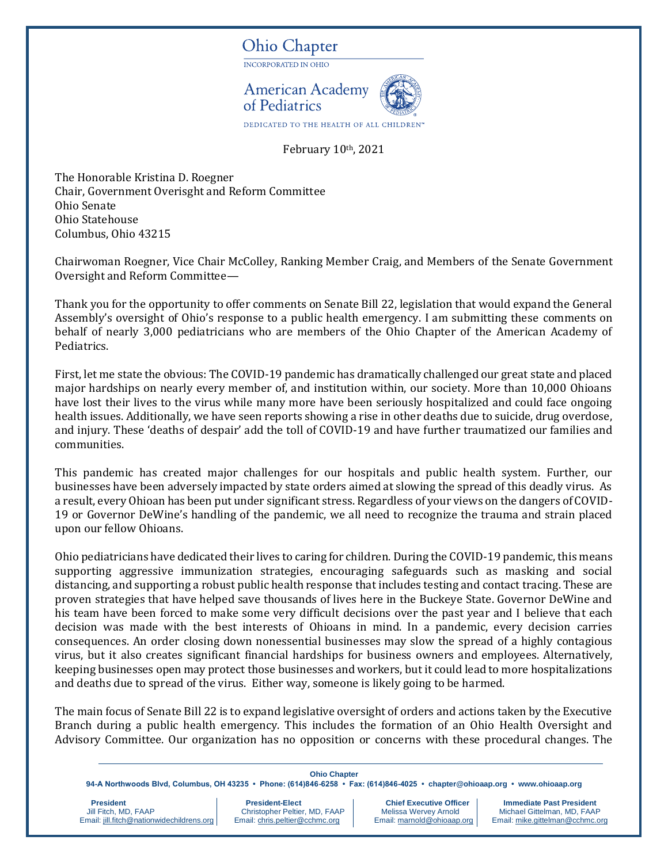## **Ohio Chapter**

INCORPORATED IN OHIO



DEDICATED TO THE HEALTH OF ALL CHILDF

February 10th, 2021

The Honorable Kristina D. Roegner Chair, Government Overisght and Reform Committee Ohio Senate Ohio Statehouse Columbus, Ohio 43215

Chairwoman Roegner, Vice Chair McColley, Ranking Member Craig, and Members of the Senate Government Oversight and Reform Committee—

Thank you for the opportunity to offer comments on Senate Bill 22, legislation that would expand the General Assembly's oversight of Ohio's response to a public health emergency. I am submitting these comments on behalf of nearly 3,000 pediatricians who are members of the Ohio Chapter of the American Academy of Pediatrics.

First, let me state the obvious: The COVID-19 pandemic has dramatically challenged our great state and placed major hardships on nearly every member of, and institution within, our society. More than 10,000 Ohioans have lost their lives to the virus while many more have been seriously hospitalized and could face ongoing health issues. Additionally, we have seen reports showing a rise in other deaths due to suicide, drug overdose, and injury. These 'deaths of despair' add the toll of COVID-19 and have further traumatized our families and communities.

This pandemic has created major challenges for our hospitals and public health system. Further, our businesses have been adversely impacted by state orders aimed at slowing the spread of this deadly virus. As a result, every Ohioan has been put under significant stress. Regardless of your views on the dangers of COVID-19 or Governor DeWine's handling of the pandemic, we all need to recognize the trauma and strain placed upon our fellow Ohioans.

Ohio pediatricians have dedicated their lives to caring for children. During the COVID-19 pandemic, this means supporting aggressive immunization strategies, encouraging safeguards such as masking and social distancing, and supporting a robust public health response that includes testing and contact tracing. These are proven strategies that have helped save thousands of lives here in the Buckeye State. Governor DeWine and his team have been forced to make some very difficult decisions over the past year and I believe that each decision was made with the best interests of Ohioans in mind. In a pandemic, every decision carries consequences. An order closing down nonessential businesses may slow the spread of a highly contagious virus, but it also creates significant financial hardships for business owners and employees. Alternatively, keeping businesses open may protect those businesses and workers, but it could lead to more hospitalizations and deaths due to spread of the virus. Either way, someone is likely going to be harmed.

The main focus of Senate Bill 22 is to expand legislative oversight of orders and actions taken by the Executive Branch during a public health emergency. This includes the formation of an Ohio Health Oversight and Advisory Committee. Our organization has no opposition or concerns with these procedural changes. The

## **Ohio Chapter**

**94-A Northwoods Blvd, Columbus, OH 43235 • Phone: (614)846-6258 • Fax: (614)846-4025 • chapter@ohioaap.org • www.ohioaap.org**

Email: jill.fitch@nationwidechildrens.org

**President President-Elect Chief Executive Officer | Immediate Past President President President Christopher Peltier, MD, FAAP | Chief Executive Officer | Immediate Past President Chief Christopher Peltier, MD, FAAP | M** Christopher Peltier, MD, FAAP Melissa Wervey Arnold Michael Gittelman, MD, FAAP<br>
Email: <u>chris.peltier@cchmc.org</u> Email: marnold@ohioaap.org Email: mike.gittelman@cchmc.org